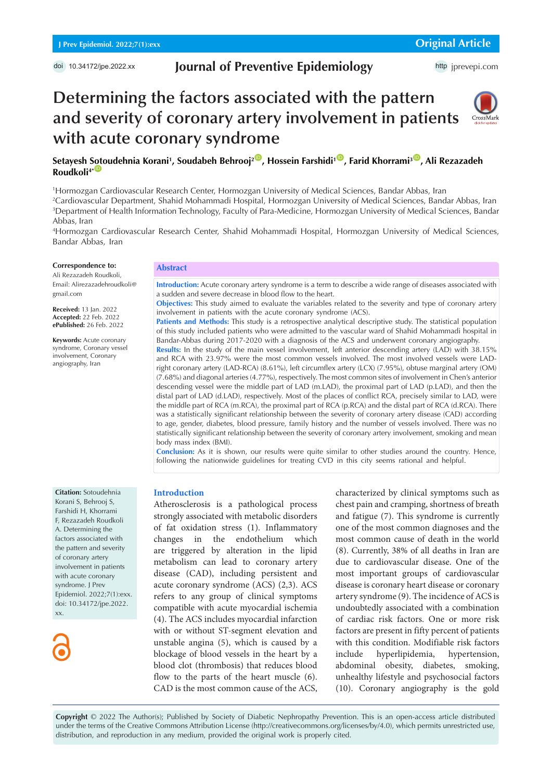## **Journal of Preventive Epidemiology**

http [jprevepi.com](http://jprevepi.com)

# CrossMark



### **Setayesh [Soto](https://orcid.org/0000-0002-3265-2391)udehnia Korani1 , Soudabeh Behrooj2** [ID](https://orcid.org/0000-0003-2757-7726) **, Hossein Farshidi1** [ID](https://orcid.org/0000-0002-2144-7798) **, Farid Khorrami3** [ID](https://orcid.org/0000-0001-7846-5455) **, Ali Rezazadeh Roudkoli<sup>4\*</sup>**

**Determining the factors associated with the pattern** 

**and severity of coronary artery involvement in patients** 

 Hormozgan Cardiovascular Research Center, Hormozgan University of Medical Sciences, Bandar Abbas, Iran Cardiovascular Department, Shahid Mohammadi Hospital, Hormozgan University of Medical Sciences, Bandar Abbas, Iran Department of Health Information Technology, Faculty of Para-Medicine, Hormozgan University of Medical Sciences, Bandar Abbas, Iran

4 Hormozgan Cardiovascular Research Center, Shahid Mohammadi Hospital, Hormozgan University of Medical Sciences, Bandar Abbas, Iran

#### **Correspondence to:**

Ali Rezazadeh Roudkoli, Email: Alirezazadehroudkoli@ gmail.com

**Received:** 13 Jan. 2022 **Accepted:** 22 Feb. 2022 **ePublished:** 26 Feb. 2022

**Keywords:** Acute coronary syndrome, Coronary vessel involvement, Coronary angiography, Iran

#### **Abstract**

**with acute coronary syndrome** 

**Introduction:** Acute coronary artery syndrome is a term to describe a wide range of diseases associated with a sudden and severe decrease in blood flow to the heart.

**Objectives:** This study aimed to evaluate the variables related to the severity and type of coronary artery involvement in patients with the acute coronary syndrome (ACS).

**Patients and Methods:** This study is a retrospective analytical descriptive study. The statistical population of this study included patients who were admitted to the vascular ward of Shahid Mohammadi hospital in Bandar-Abbas during 2017-2020 with a diagnosis of the ACS and underwent coronary angiography.

**Results:** In the study of the main vessel involvement, left anterior descending artery (LAD) with 38.15% and RCA with 23.97% were the most common vessels involved. The most involved vessels were LADright coronary artery (LAD-RCA) (8.61%), left circumflex artery (LCX) (7.95%), obtuse marginal artery (OM) (7.68%) and diagonal arteries (4.77%), respectively. The most common sites of involvement in Chen's anterior descending vessel were the middle part of LAD (m.LAD), the proximal part of LAD (p.LAD), and then the distal part of LAD (d.LAD), respectively. Most of the places of conflict RCA, precisely similar to LAD, were the middle part of RCA (m.RCA), the proximal part of RCA (p.RCA) and the distal part of RCA (d.RCA). There was a statistically significant relationship between the severity of coronary artery disease (CAD) according to age, gender, diabetes, blood pressure, family history and the number of vessels involved. There was no statistically significant relationship between the severity of coronary artery involvement, smoking and mean body mass index (BMI).

**Conclusion:** As it is shown, our results were quite similar to other studies around the country. Hence, following the nationwide guidelines for treating CVD in this city seems rational and helpful.

**Citation:** Sotoudehnia Korani S, Behrooj S, Farshidi H, Khorrami F, Rezazadeh Roudkoli A. Determining the factors associated with the pattern and severity of coronary artery involvement in patients with acute coronary syndrome. J Prev Epidemiol. 2022;7(1):exx. doi: 10.34172/jpe.2022. xx.



#### **Introduction**

Atherosclerosis is a pathological process strongly associated with metabolic disorders of fat oxidation stress (1). Inflammatory changes in the endothelium which are triggered by alteration in the lipid metabolism can lead to coronary artery disease (CAD), including persistent and acute coronary syndrome (ACS) (2,3). ACS refers to any group of clinical symptoms compatible with acute myocardial ischemia (4). The ACS includes myocardial infarction with or without ST-segment elevation and unstable angina (5), which is caused by a blockage of blood vessels in the heart by a blood clot (thrombosis) that reduces blood flow to the parts of the heart muscle (6). CAD is the most common cause of the ACS,

characterized by clinical symptoms such as chest pain and cramping, shortness of breath and fatigue (7). This syndrome is currently one of the most common diagnoses and the most common cause of death in the world (8). Currently, 38% of all deaths in Iran are due to cardiovascular disease. One of the most important groups of cardiovascular disease is coronary heart disease or coronary artery syndrome (9). The incidence of ACS is undoubtedly associated with a combination of cardiac risk factors. One or more risk factors are present in fifty percent of patients with this condition. Modifiable risk factors include hyperlipidemia, hypertension, abdominal obesity, diabetes, smoking, unhealthy lifestyle and psychosocial factors (10). Coronary angiography is the gold

**Copyright** © 2022 The Author(s); Published by Society of Diabetic Nephropathy Prevention. This is an open-access article distributed under the terms of the Creative Commons Attribution License (http://creativecommons.org/licenses/by/4.0), which permits unrestricted use, distribution, and reproduction in any medium, provided the original work is properly cited.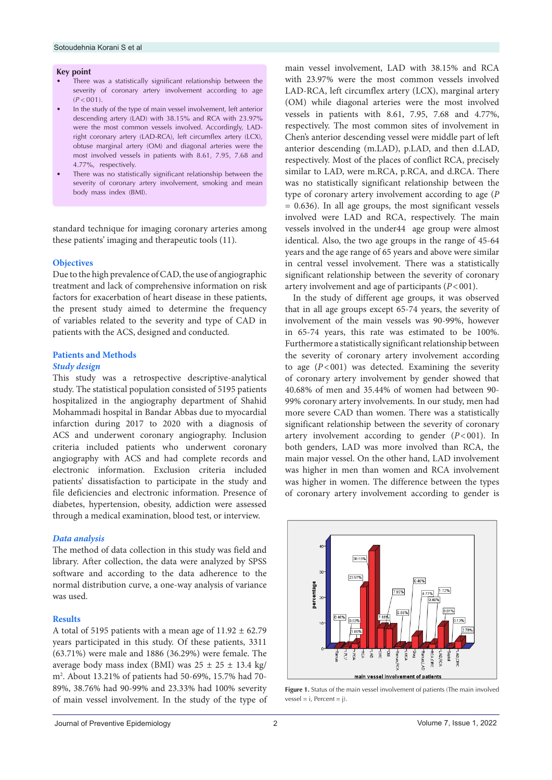#### **Key point**

- There was a statistically significant relationship between the severity of coronary artery involvement according to age  $(P < 0.01)$
- In the study of the type of main vessel involvement, left anterior descending artery (LAD) with 38.15% and RCA with 23.97% were the most common vessels involved. Accordingly, LADright coronary artery (LAD-RCA), left circumflex artery (LCX), obtuse marginal artery (OM) and diagonal arteries were the most involved vessels in patients with 8.61, 7.95, 7.68 and 4.77%, respectively.
- There was no statistically significant relationship between the severity of coronary artery involvement, smoking and mean body mass index (BMI).

standard technique for imaging coronary arteries among these patients' imaging and therapeutic tools (11).

#### **Objectives**

Due to the high prevalence of CAD, the use of angiographic treatment and lack of comprehensive information on risk factors for exacerbation of heart disease in these patients, the present study aimed to determine the frequency of variables related to the severity and type of CAD in patients with the ACS, designed and conducted.

#### **Patients and Methods**

#### *Study design*

This study was a retrospective descriptive-analytical study. The statistical population consisted of 5195 patients hospitalized in the angiography department of Shahid Mohammadi hospital in Bandar Abbas due to myocardial infarction during 2017 to 2020 with a diagnosis of ACS and underwent coronary angiography. Inclusion criteria included patients who underwent coronary angiography with ACS and had complete records and electronic information. Exclusion criteria included patients' dissatisfaction to participate in the study and file deficiencies and electronic information. Presence of diabetes, hypertension, obesity, addiction were assessed through a medical examination, blood test, or interview.

#### *Data analysis*

The method of data collection in this study was field and library. After collection, the data were analyzed by SPSS software and according to the data adherence to the normal distribution curve, a one-way analysis of variance was used.

#### **Results**

A total of 5195 patients with a mean age of  $11.92 \pm 62.79$ years participated in this study. Of these patients, 3311 (63.71%) were male and 1886 (36.29%) were female. The average body mass index (BMI) was  $25 \pm 25 \pm 13.4$  kg/ m2 . About 13.21% of patients had 50-69%, 15.7% had 70- 89%, 38.76% had 90-99% and 23.33% had 100% severity of main vessel involvement. In the study of the type of main vessel involvement, LAD with 38.15% and RCA with 23.97% were the most common vessels involved LAD-RCA, left circumflex artery (LCX), marginal artery (OM) while diagonal arteries were the most involved vessels in patients with 8.61, 7.95, 7.68 and 4.77%, respectively. The most common sites of involvement in Chen's anterior descending vessel were middle part of left anterior descending (m.LAD), p.LAD, and then d.LAD, respectively. Most of the places of conflict RCA, precisely similar to LAD, were m.RCA, p.RCA, and d.RCA. There was no statistically significant relationship between the type of coronary artery involvement according to age (*P* = 0.636). In all age groups, the most significant vessels involved were LAD and RCA, respectively. The main vessels involved in the under44 age group were almost identical. Also, the two age groups in the range of 45-64 years and the age range of 65 years and above were similar in central vessel involvement. There was a statistically significant relationship between the severity of coronary artery involvement and age of participants (*P*<001).

In the study of different age groups, it was observed that in all age groups except 65-74 years, the severity of involvement of the main vessels was 90-99%, however in 65-74 years, this rate was estimated to be 100%. Furthermore a statistically significant relationship between the severity of coronary artery involvement according to age  $(P<001)$  was detected. Examining the severity of coronary artery involvement by gender showed that 40.68% of men and 35.44% of women had between 90- 99% coronary artery involvements. In our study, men had more severe CAD than women. There was a statistically significant relationship between the severity of coronary artery involvement according to gender (*P*<001). In both genders, LAD was more involved than RCA, the main major vessel. On the other hand, LAD involvement was higher in men than women and RCA involvement was higher in women. The difference between the types of coronary artery involvement according to gender is

<span id="page-1-0"></span>

Figure 1. Status of the main vessel involvement of patients (The main involved  $vessel = i$ , Percent = j).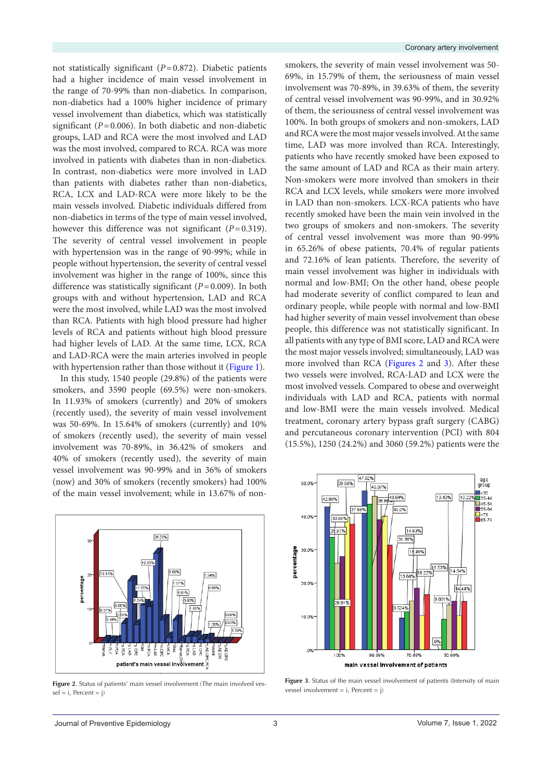not statistically significant (*P*=0.872). Diabetic patients had a higher incidence of main vessel involvement in the range of 70-99% than non-diabetics. In comparison, non-diabetics had a 100% higher incidence of primary vessel involvement than diabetics, which was statistically significant  $(P=0.006)$ . In both diabetic and non-diabetic groups, LAD and RCA were the most involved and LAD was the most involved, compared to RCA. RCA was more involved in patients with diabetes than in non-diabetics. In contrast, non-diabetics were more involved in LAD than patients with diabetes rather than non-diabetics, RCA, LCX and LAD-RCA were more likely to be the main vessels involved. Diabetic individuals differed from non-diabetics in terms of the type of main vessel involved, however this difference was not significant (*P*=0.319). The severity of central vessel involvement in people with hypertension was in the range of 90-99%; while in people without hypertension, the severity of central vessel involvement was higher in the range of 100%, since this difference was statistically significant (*P*=0.009). In both groups with and without hypertension, LAD and RCA were the most involved, while LAD was the most involved than RCA. Patients with high blood pressure had higher levels of RCA and patients without high blood pressure had higher levels of LAD. At the same time, LCX, RCA and LAD-RCA were the main arteries involved in people with hypertension rather than those without it [\(Figure 1\)](#page-1-0).

In this study, 1540 people (29.8%) of the patients were smokers, and 3590 people (69.5%) were non-smokers. In 11.93% of smokers (currently) and 20% of smokers (recently used), the severity of main vessel involvement was 50-69%. In 15.64% of smokers (currently) and 10% of smokers (recently used), the severity of main vessel involvement was 70-89%, in 36.42% of smokers and 40% of smokers (recently used), the severity of main vessel involvement was 90-99% and in 36% of smokers (now) and 30% of smokers (recently smokers) had 100% of the main vessel involvement; while in 13.67% of non-

<span id="page-2-0"></span>

Figure 2. Status of patients' main vessel involvement (The main involved ves $sel = i$ , Percent = j)

smokers, the severity of main vessel involvement was 50- 69%, in 15.79% of them, the seriousness of main vessel involvement was 70-89%, in 39.63% of them, the severity of central vessel involvement was 90-99%, and in 30.92% of them, the seriousness of central vessel involvement was 100%. In both groups of smokers and non-smokers, LAD and RCA were the most major vessels involved. At the same time, LAD was more involved than RCA. Interestingly, patients who have recently smoked have been exposed to the same amount of LAD and RCA as their main artery. Non-smokers were more involved than smokers in their RCA and LCX levels, while smokers were more involved in LAD than non-smokers. LCX-RCA patients who have recently smoked have been the main vein involved in the two groups of smokers and non-smokers. The severity of central vessel involvement was more than 90-99% in 65.26% of obese patients, 70.4% of regular patients and 72.16% of lean patients. Therefore, the severity of main vessel involvement was higher in individuals with normal and low-BMI; On the other hand, obese people had moderate severity of conflict compared to lean and ordinary people, while people with normal and low-BMI had higher severity of main vessel involvement than obese people, this difference was not statistically significant. In all patients with any type of BMI score, LAD and RCA were the most major vessels involved; simultaneously, LAD was more involved than RCA ([Figures 2](#page-2-0) and [3\)](#page-2-1). After these two vessels were involved, RCA-LAD and LCX were the most involved vessels. Compared to obese and overweight individuals with LAD and RCA, patients with normal and low-BMI were the main vessels involved. Medical treatment, coronary artery bypass graft surgery (CABG) and percutaneous coronary intervention (PCI) with 804 (15.5%), 1250 (24.2%) and 3060 (59.2%) patients were the

<span id="page-2-1"></span>

**Figure 3**. Status of the main vessel involvement of patients (Intensity of main vessel involvement = i, Percent = j)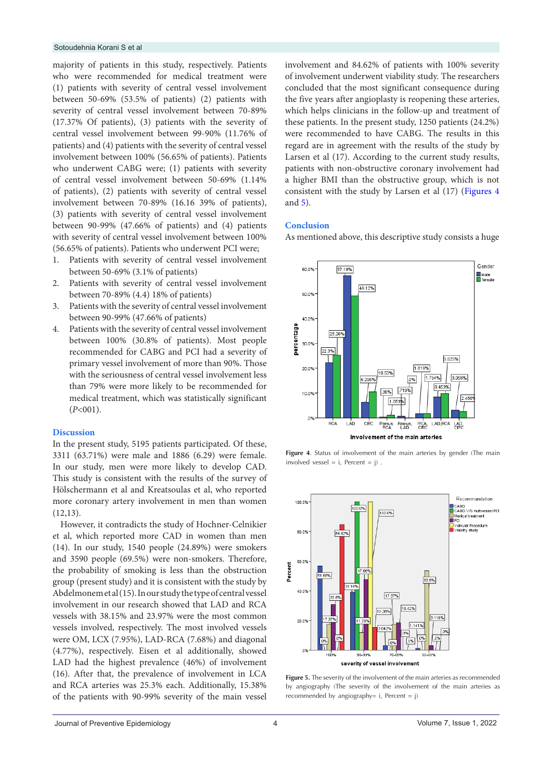majority of patients in this study, respectively. Patients who were recommended for medical treatment were (1) patients with severity of central vessel involvement between 50-69% (53.5% of patients) (2) patients with severity of central vessel involvement between 70-89% (17.37% Of patients), (3) patients with the severity of central vessel involvement between 99-90% (11.76% of patients) and (4) patients with the severity of central vessel involvement between 100% (56.65% of patients). Patients who underwent CABG were; (1) patients with severity of central vessel involvement between 50-69% (1.14% of patients), (2) patients with severity of central vessel involvement between 70-89% (16.16 39% of patients), (3) patients with severity of central vessel involvement between 90-99% (47.66% of patients) and (4) patients with severity of central vessel involvement between 100% (56.65% of patients). Patients who underwent PCI were;

- 1. Patients with severity of central vessel involvement between 50-69% (3.1% of patients)
- 2. Patients with severity of central vessel involvement between 70-89% (4.4) 18% of patients)
- 3. Patients with the severity of central vessel involvement between 90-99% (47.66% of patients)
- 4. Patients with the severity of central vessel involvement between 100% (30.8% of patients). Most people recommended for CABG and PCI had a severity of primary vessel involvement of more than 90%. Those with the seriousness of central vessel involvement less than 79% were more likely to be recommended for medical treatment, which was statistically significant (*P*<001).

#### **Discussion**

In the present study, 5195 patients participated. Of these, 3311 (63.71%) were male and 1886 (6.29) were female. In our study, men were more likely to develop CAD. This study is consistent with the results of the survey of Hölschermann et al and Kreatsoulas et al, who reported more coronary artery involvement in men than women (12,13).

However, it contradicts the study of Hochner-Celnikier et al, which reported more CAD in women than men (14). In our study, 1540 people (24.89%) were smokers and 3590 people (69.5%) were non-smokers. Therefore, the probability of smoking is less than the obstruction group (present study) and it is consistent with the study by Abdelmonem et al (15). In our study the type of central vessel involvement in our research showed that LAD and RCA vessels with 38.15% and 23.97% were the most common vessels involved, respectively. The most involved vessels were OM, LCX (7.95%), LAD-RCA (7.68%) and diagonal (4.77%), respectively. Eisen et al additionally, showed LAD had the highest prevalence (46%) of involvement (16). After that, the prevalence of involvement in LCA and RCA arteries was 25.3% each. Additionally, 15.38% of the patients with 90-99% severity of the main vessel involvement and 84.62% of patients with 100% severity of involvement underwent viability study. The researchers concluded that the most significant consequence during the five years after angioplasty is reopening these arteries, which helps clinicians in the follow-up and treatment of these patients. In the present study, 1250 patients (24.2%) were recommended to have CABG. The results in this regard are in agreement with the results of the study by Larsen et al (17). According to the current study results, patients with non-obstructive coronary involvement had a higher BMI than the obstructive group, which is not consistent with the study by Larsen et al (17) ([Figures 4](#page-3-0)  and [5\)](#page-3-1).

#### **Conclusion**

As mentioned above, this descriptive study consists a huge

<span id="page-3-0"></span>

<span id="page-3-1"></span>**Figure 4.** Status of involvement of the main arteries by gender (The main involved vessel =  $i$ , Percent =  $j$ ).



**Figure 5.** The severity of the involvement of the main arteries as recommended by angiography (The severity of the involvement of the main arteries as recommended by angiography=  $i$ , Percent =  $j$ )